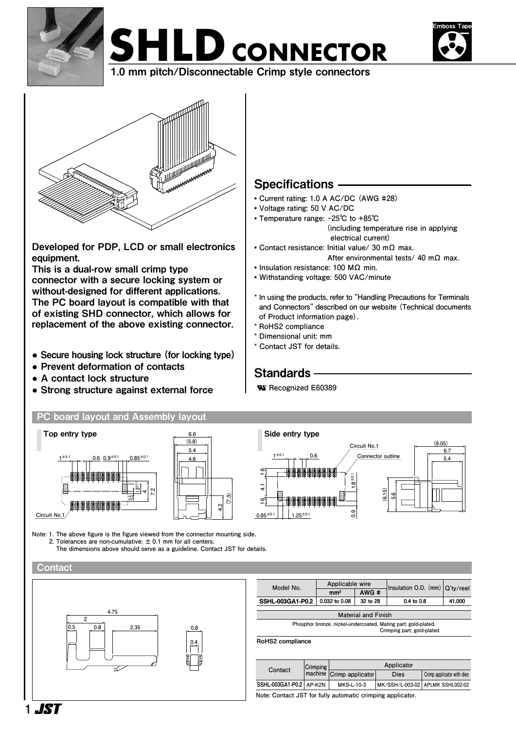







Developed for PDP, LCD or small electronics equipment.

This is a dual-row small crimp type connector with a secure locking system or without-designed for different applications. The PC board layout is compatible with that of existing SHD connector, which allows for replacement of the above existing connector.

- **●** Secure housing lock structure (for locking type)
- **●** Prevent deformation of contacts
- **●** A contact lock structure
- **●** Strong structure against external force **® ® ®**

### **PC board layout and Assembly layout**



Specifications

**• Voltage rating: 50 V AC/DC • Temperature range: -25℃ to +85℃** 

**• Current rating: 1.0 A AC/DC (AWG #28)**

**• Contact resistance: Initial value/ 30 mΩ max.**

**• Insulation resistance: 100 MΩ min. • Withstanding voltage: 500 VAC/minute**

**\* In using the products, refer to "Handling Precautions for Terminals and Connectors" described on our website (Technical documents of Product information page).**

 **electrical current)**

 **(including temperature rise in applying** 

 **After environmental tests/ 40 mΩ max.**

- **\* RoHS2 compliance**
- **\* Dimensional unit: mm**
- **\* Contact JST for details.**

## **Standards**

 **Recognized E60389**



Note: 1. The above figure is the figure viewed from the connector mounting side.<br>2. Teleganese are non-qumulative:  $\pm 0.1$  mm for all conters  **2. Tolerances are non-cumulative: ± 0.1 mm for all centers. The dimensions above should serve as a guideline. Contact JST for details.**

#### **Contact**



| Model No.                        | Applicable wire |          | Insulation O.D. $(mm)$ Q'ty/reel |        |  |  |
|----------------------------------|-----------------|----------|----------------------------------|--------|--|--|
|                                  | mm <sup>2</sup> | AWG #    |                                  |        |  |  |
| SSHL-003GA1-P0.2   0.032 to 0.08 |                 | 32 to 28 | $0.4$ to $0.8$                   | 41,000 |  |  |
|                                  |                 |          |                                  |        |  |  |
| <b>Material and Finish</b>       |                 |          |                                  |        |  |  |

|--|

RoHS2 compliance

| Contact                                                    | Crimping | Applicator               |      |                                  |  |
|------------------------------------------------------------|----------|--------------------------|------|----------------------------------|--|
|                                                            |          | machine Crimp applicator | Dies | Crimp applicator with dies       |  |
| SSHL-003GA1-P0.2 AP-K2N                                    |          | MKS-L-10-3               |      | MK/SSH/L-003-02 APLMK SSHL002-02 |  |
| Nata: Cantant, ICT far fully automatic arimsing anglicator |          |                          |      |                                  |  |

**Note: Contact JST for fully automatic crimping applicator.**